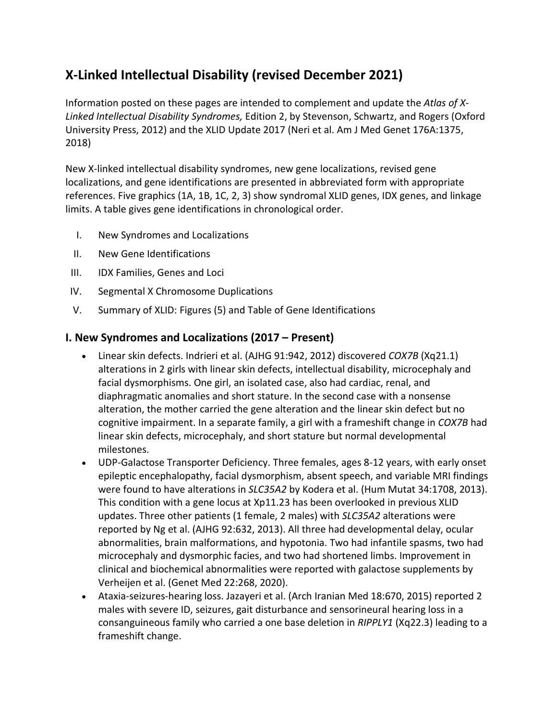# **X-Linked Intellectual Disability (revised December 2021)**

Information posted on these pages are intended to complement and update the *Atlas of X-Linked Intellectual Disability Syndromes,* Edition 2, by Stevenson, Schwartz, and Rogers (Oxford University Press, 2012) and the XLID Update 2017 (Neri et al. Am J Med Genet 176A:1375, 2018)

New X-linked intellectual disability syndromes, new gene localizations, revised gene localizations, and gene identifications are presented in abbreviated form with appropriate references. Five graphics (1A, 1B, 1C, 2, 3) show syndromal XLID genes, IDX genes, and linkage limits. A table gives gene identifications in chronological order.

- I. New Syndromes and Localizations
- II. New Gene Identifications
- III. IDX Families, Genes and Loci
- IV. Segmental X Chromosome Duplications
- V. Summary of XLID: Figures (5) and Table of Gene Identifications

#### **I. New Syndromes and Localizations (2017 – Present)**

- Linear skin defects. Indrieri et al. (AJHG 91:942, 2012) discovered *COX7B* (Xq21.1) alterations in 2 girls with linear skin defects, intellectual disability, microcephaly and facial dysmorphisms. One girl, an isolated case, also had cardiac, renal, and diaphragmatic anomalies and short stature. In the second case with a nonsense alteration, the mother carried the gene alteration and the linear skin defect but no cognitive impairment. In a separate family, a girl with a frameshift change in *COX7B* had linear skin defects, microcephaly, and short stature but normal developmental milestones.
- UDP-Galactose Transporter Deficiency. Three females, ages 8-12 years, with early onset epileptic encephalopathy, facial dysmorphism, absent speech, and variable MRI findings were found to have alterations in *SLC35A2* by Kodera et al. (Hum Mutat 34:1708, 2013). This condition with a gene locus at Xp11.23 has been overlooked in previous XLID updates. Three other patients (1 female, 2 males) with *SLC35A2* alterations were reported by Ng et al. (AJHG 92:632, 2013). All three had developmental delay, ocular abnormalities, brain malformations, and hypotonia. Two had infantile spasms, two had microcephaly and dysmorphic facies, and two had shortened limbs. Improvement in clinical and biochemical abnormalities were reported with galactose supplements by Verheijen et al. (Genet Med 22:268, 2020).
- Ataxia-seizures-hearing loss. Jazayeri et al. (Arch Iranian Med 18:670, 2015) reported 2 males with severe ID, seizures, gait disturbance and sensorineural hearing loss in a consanguineous family who carried a one base deletion in *RIPPLY1* (Xq22.3) leading to a frameshift change.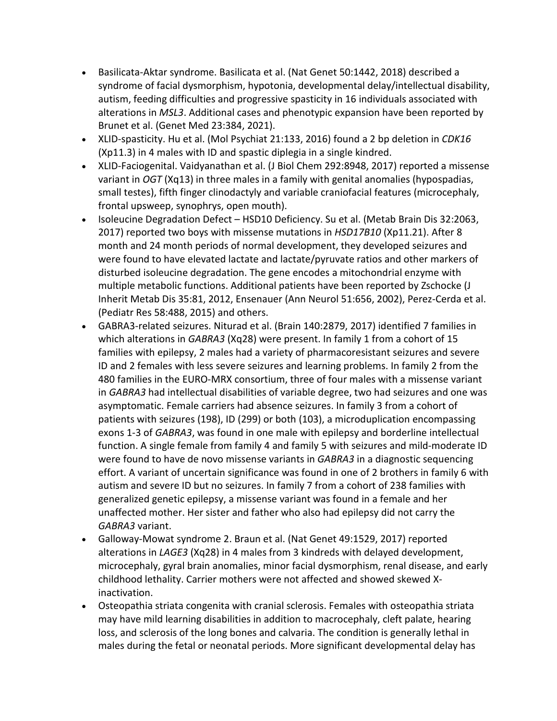- Basilicata-Aktar syndrome. Basilicata et al. (Nat Genet 50:1442, 2018) described a syndrome of facial dysmorphism, hypotonia, developmental delay/intellectual disability, autism, feeding difficulties and progressive spasticity in 16 individuals associated with alterations in *MSL3*. Additional cases and phenotypic expansion have been reported by Brunet et al. (Genet Med 23:384, 2021).
- XLID-spasticity. Hu et al. (Mol Psychiat 21:133, 2016) found a 2 bp deletion in *CDK16* (Xp11.3) in 4 males with ID and spastic diplegia in a single kindred.
- XLID-Faciogenital. Vaidyanathan et al. (J Biol Chem 292:8948, 2017) reported a missense variant in *OGT* (Xq13) in three males in a family with genital anomalies (hypospadias, small testes), fifth finger clinodactyly and variable craniofacial features (microcephaly, frontal upsweep, synophrys, open mouth).
- Isoleucine Degradation Defect HSD10 Deficiency. Su et al. (Metab Brain Dis 32:2063, 2017) reported two boys with missense mutations in *HSD17B10* (Xp11.21). After 8 month and 24 month periods of normal development, they developed seizures and were found to have elevated lactate and lactate/pyruvate ratios and other markers of disturbed isoleucine degradation. The gene encodes a mitochondrial enzyme with multiple metabolic functions. Additional patients have been reported by Zschocke (J Inherit Metab Dis 35:81, 2012, Ensenauer (Ann Neurol 51:656, 2002), Perez-Cerda et al. (Pediatr Res 58:488, 2015) and others.
- GABRA3-related seizures. Niturad et al. (Brain 140:2879, 2017) identified 7 families in which alterations in *GABRA3* (Xq28) were present. In family 1 from a cohort of 15 families with epilepsy, 2 males had a variety of pharmacoresistant seizures and severe ID and 2 females with less severe seizures and learning problems. In family 2 from the 480 families in the EURO-MRX consortium, three of four males with a missense variant in *GABRA3* had intellectual disabilities of variable degree, two had seizures and one was asymptomatic. Female carriers had absence seizures. In family 3 from a cohort of patients with seizures (198), ID (299) or both (103), a microduplication encompassing exons 1-3 of *GABRA3*, was found in one male with epilepsy and borderline intellectual function. A single female from family 4 and family 5 with seizures and mild-moderate ID were found to have de novo missense variants in *GABRA3* in a diagnostic sequencing effort. A variant of uncertain significance was found in one of 2 brothers in family 6 with autism and severe ID but no seizures. In family 7 from a cohort of 238 families with generalized genetic epilepsy, a missense variant was found in a female and her unaffected mother. Her sister and father who also had epilepsy did not carry the *GABRA3* variant.
- Galloway-Mowat syndrome 2. Braun et al. (Nat Genet 49:1529, 2017) reported alterations in *LAGE3* (Xq28) in 4 males from 3 kindreds with delayed development, microcephaly, gyral brain anomalies, minor facial dysmorphism, renal disease, and early childhood lethality. Carrier mothers were not affected and showed skewed Xinactivation.
- Osteopathia striata congenita with cranial sclerosis. Females with osteopathia striata may have mild learning disabilities in addition to macrocephaly, cleft palate, hearing loss, and sclerosis of the long bones and calvaria. The condition is generally lethal in males during the fetal or neonatal periods. More significant developmental delay has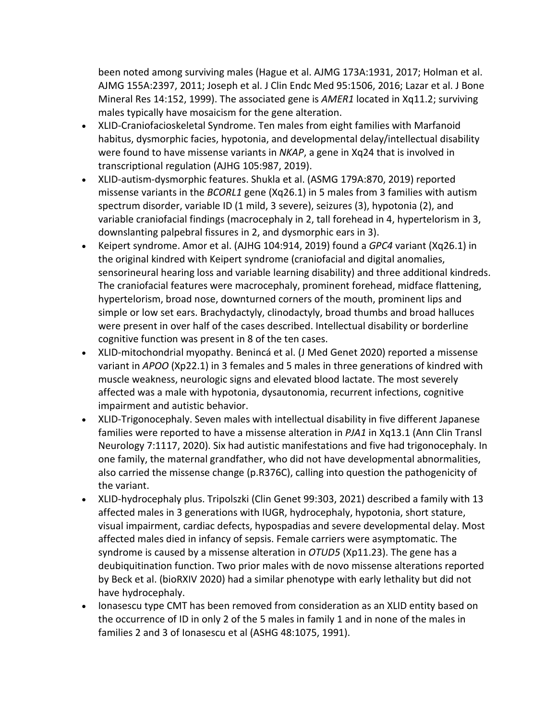been noted among surviving males (Hague et al. AJMG 173A:1931, 2017; Holman et al. AJMG 155A:2397, 2011; Joseph et al. J Clin Endc Med 95:1506, 2016; Lazar et al. J Bone Mineral Res 14:152, 1999). The associated gene is *AMER1* located in Xq11.2; surviving males typically have mosaicism for the gene alteration.

- XLID-Craniofacioskeletal Syndrome. Ten males from eight families with Marfanoid habitus, dysmorphic facies, hypotonia, and developmental delay/intellectual disability were found to have missense variants in *NKAP*, a gene in Xq24 that is involved in transcriptional regulation (AJHG 105:987, 2019).
- XLID-autism-dysmorphic features. Shukla et al. (ASMG 179A:870, 2019) reported missense variants in the *BCORL1* gene (Xq26.1) in 5 males from 3 families with autism spectrum disorder, variable ID (1 mild, 3 severe), seizures (3), hypotonia (2), and variable craniofacial findings (macrocephaly in 2, tall forehead in 4, hypertelorism in 3, downslanting palpebral fissures in 2, and dysmorphic ears in 3).
- Keipert syndrome. Amor et al. (AJHG 104:914, 2019) found a *GPC4* variant (Xq26.1) in the original kindred with Keipert syndrome (craniofacial and digital anomalies, sensorineural hearing loss and variable learning disability) and three additional kindreds. The craniofacial features were macrocephaly, prominent forehead, midface flattening, hypertelorism, broad nose, downturned corners of the mouth, prominent lips and simple or low set ears. Brachydactyly, clinodactyly, broad thumbs and broad halluces were present in over half of the cases described. Intellectual disability or borderline cognitive function was present in 8 of the ten cases.
- XLID-mitochondrial myopathy. Benincá et al. (J Med Genet 2020) reported a missense variant in *APOO* (Xp22.1) in 3 females and 5 males in three generations of kindred with muscle weakness, neurologic signs and elevated blood lactate. The most severely affected was a male with hypotonia, dysautonomia, recurrent infections, cognitive impairment and autistic behavior.
- XLID-Trigonocephaly. Seven males with intellectual disability in five different Japanese families were reported to have a missense alteration in *PJA1* in Xq13.1 (Ann Clin Transl Neurology 7:1117, 2020). Six had autistic manifestations and five had trigonocephaly. In one family, the maternal grandfather, who did not have developmental abnormalities, also carried the missense change (p.R376C), calling into question the pathogenicity of the variant.
- XLID-hydrocephaly plus. Tripolszki (Clin Genet 99:303, 2021) described a family with 13 affected males in 3 generations with IUGR, hydrocephaly, hypotonia, short stature, visual impairment, cardiac defects, hypospadias and severe developmental delay. Most affected males died in infancy of sepsis. Female carriers were asymptomatic. The syndrome is caused by a missense alteration in *OTUD5* (Xp11.23). The gene has a deubiquitination function. Two prior males with de novo missense alterations reported by Beck et al. (bioRXIV 2020) had a similar phenotype with early lethality but did not have hydrocephaly.
- Ionasescu type CMT has been removed from consideration as an XLID entity based on the occurrence of ID in only 2 of the 5 males in family 1 and in none of the males in families 2 and 3 of Ionasescu et al (ASHG 48:1075, 1991).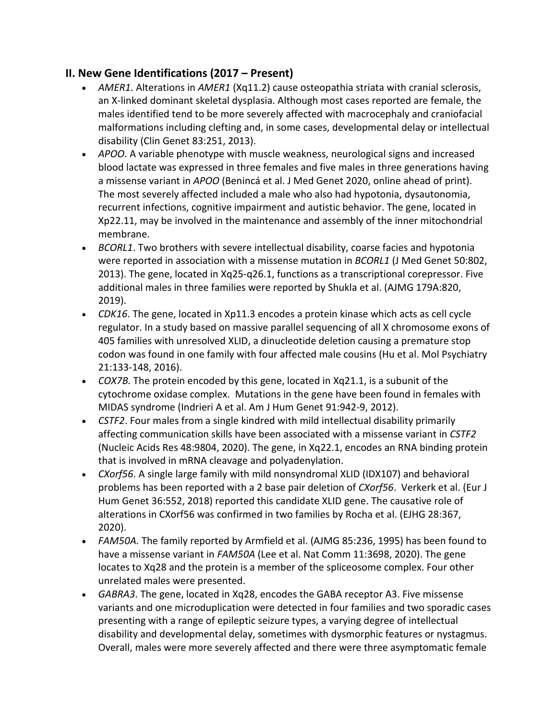## **II. New Gene Identifications (2017 – Present)**

- *AMER1*. Alterations in *AMER1* (Xq11.2) cause osteopathia striata with cranial sclerosis, an X-linked dominant skeletal dysplasia. Although most cases reported are female, the males identified tend to be more severely affected with macrocephaly and craniofacial malformations including clefting and, in some cases, developmental delay or intellectual disability (Clin Genet 83:251, 2013).
- *APOO*. A variable phenotype with muscle weakness, neurological signs and increased blood lactate was expressed in three females and five males in three generations having a missense variant in *APOO* (Benincá et al. J Med Genet 2020, online ahead of print). The most severely affected included a male who also had hypotonia, dysautonomia, recurrent infections, cognitive impairment and autistic behavior. The gene, located in Xp22.11, may be involved in the maintenance and assembly of the inner mitochondrial membrane.
- *BCORL1*. Two brothers with severe intellectual disability, coarse facies and hypotonia were reported in association with a missense mutation in *BCORL1* (J Med Genet 50:802, 2013). The gene, located in Xq25-q26.1, functions as a transcriptional corepressor. Five additional males in three families were reported by Shukla et al. (AJMG 179A:820, 2019).
- *CDK16*. The gene, located in Xp11.3 encodes a protein kinase which acts as cell cycle regulator. In a study based on massive parallel sequencing of all X chromosome exons of 405 families with unresolved XLID, a dinucleotide deletion causing a premature stop codon was found in one family with four affected male cousins (Hu et al. Mol Psychiatry 21:133-148, 2016).
- *COX7B.* The protein encoded by this gene, located in Xq21.1, is a subunit of the cytochrome oxidase complex. Mutations in the gene have been found in females with MIDAS syndrome (Indrieri A et al. Am J Hum Genet 91:942-9, 2012).
- *CSTF2*. Four males from a single kindred with mild intellectual disability primarily affecting communication skills have been associated with a missense variant in *CSTF2*  (Nucleic Acids Res 48:9804, 2020). The gene, in Xq22.1, encodes an RNA binding protein that is involved in mRNA cleavage and polyadenylation.
- *CXorf56*. A single large family with mild nonsyndromal XLID (IDX107) and behavioral problems has been reported with a 2 base pair deletion of *CXorf56*. Verkerk et al. (Eur J Hum Genet 36:552, 2018) reported this candidate XLID gene. The causative role of alterations in CXorf56 was confirmed in two families by Rocha et al. (EJHG 28:367, 2020).
- *FAM50A.* The family reported by Armfield et al. (AJMG 85:236, 1995) has been found to have a missense variant in *FAM50A* (Lee et al. Nat Comm 11:3698, 2020). The gene locates to Xq28 and the protein is a member of the spliceosome complex. Four other unrelated males were presented.
- *GABRA3*. The gene, located in Xq28, encodes the GABA receptor A3. Five missense variants and one microduplication were detected in four families and two sporadic cases presenting with a range of epileptic seizure types, a varying degree of intellectual disability and developmental delay, sometimes with dysmorphic features or nystagmus. Overall, males were more severely affected and there were three asymptomatic female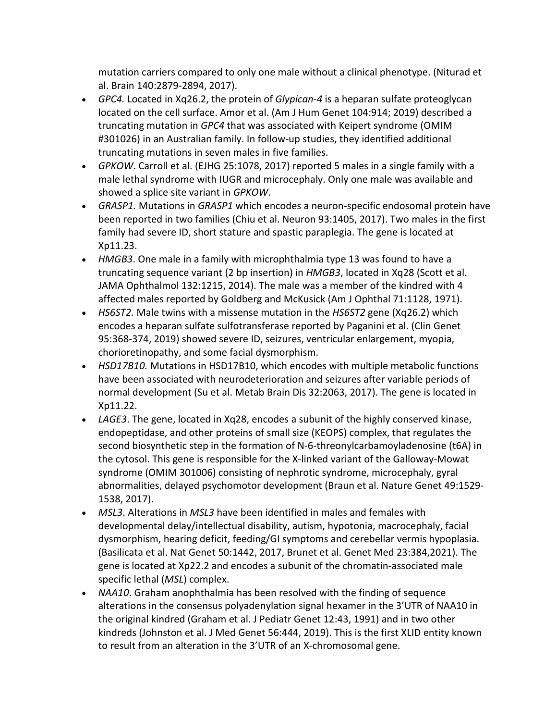mutation carriers compared to only one male without a clinical phenotype. (Niturad et al. Brain 140:2879-2894, 2017).

- *GPC4.* Located in Xq26.2, the protein of *Glypican-4* is a heparan sulfate proteoglycan located on the cell surface. Amor et al. (Am J Hum Genet 104:914; 2019) described a truncating mutation in *GPC4* that was associated with Keipert syndrome (OMIM #301026) in an Australian family. In follow-up studies, they identified additional truncating mutations in seven males in five families.
- *GPKOW*. Carroll et al. (EJHG 25:1078, 2017) reported 5 males in a single family with a male lethal syndrome with IUGR and microcephaly. Only one male was available and showed a splice site variant in *GPKOW*.
- *GRASP1.* Mutations in *GRASP1* which encodes a neuron-specific endosomal protein have been reported in two families (Chiu et al. Neuron 93:1405, 2017). Two males in the first family had severe ID, short stature and spastic paraplegia. The gene is located at Xp11.23.
- *HMGB3*. One male in a family with microphthalmia type 13 was found to have a truncating sequence variant (2 bp insertion) in *HMGB3*, located in Xq28 (Scott et al. JAMA Ophthalmol 132:1215, 2014). The male was a member of the kindred with 4 affected males reported by Goldberg and McKusick (Am J Ophthal 71:1128, 1971).
- *HS6ST2.* Male twins with a missense mutation in the *HS6ST2* gene (Xq26.2) which encodes a heparan sulfate sulfotransferase reported by Paganini et al. [\(Clin Genet](https://www.ncbi.nlm.nih.gov/pubmed/?term=paganini+leda%2C+2018%2C+HS6ST2)  [95:368-374,](https://www.ncbi.nlm.nih.gov/pubmed/?term=paganini+leda%2C+2018%2C+HS6ST2) 2019) showed severe ID, seizures, ventricular enlargement, myopia, chorioretinopathy, and some facial dysmorphism.
- *HSD17B10.* Mutations in HSD17B10, which encodes with multiple metabolic functions have been associated with neurodeterioration and seizures after variable periods of normal development (Su et al. Metab Brain Dis 32:2063, 2017). The gene is located in Xp11.22.
- *LAGE3*. The gene, located in Xq28, encodes a subunit of the highly conserved kinase, endopeptidase, and other proteins of small size (KEOPS) complex, that regulates the second biosynthetic step in the formation of N-6-threonylcarbamoyladenosine (t6A) in the cytosol. This gene is responsible for the X-linked variant of the Galloway-Mowat syndrome (OMIM 301006) consisting of nephrotic syndrome, microcephaly, gyral abnormalities, delayed psychomotor development (Braun et al. Nature Genet 49:1529- 1538, 2017).
- *MSL3*. Alterations in *MSL3* have been identified in males and females with developmental delay/intellectual disability, autism, hypotonia, macrocephaly, facial dysmorphism, hearing deficit, feeding/GI symptoms and cerebellar vermis hypoplasia. (Basilicata et al. Nat Genet 50:1442, 2017, Brunet et al. Genet Med 23:384,2021). The gene is located at Xp22.2 and encodes a subunit of the chromatin-associated male specific lethal (*MSL*) complex.
- *NAA10*. Graham anophthalmia has been resolved with the finding of sequence alterations in the consensus polyadenylation signal hexamer in the 3'UTR of NAA10 in the original kindred (Graham et al. J Pediatr Genet 12:43, 1991) and in two other kindreds (Johnston et al. J Med Genet 56:444, 2019). This is the first XLID entity known to result from an alteration in the 3'UTR of an X-chromosomal gene.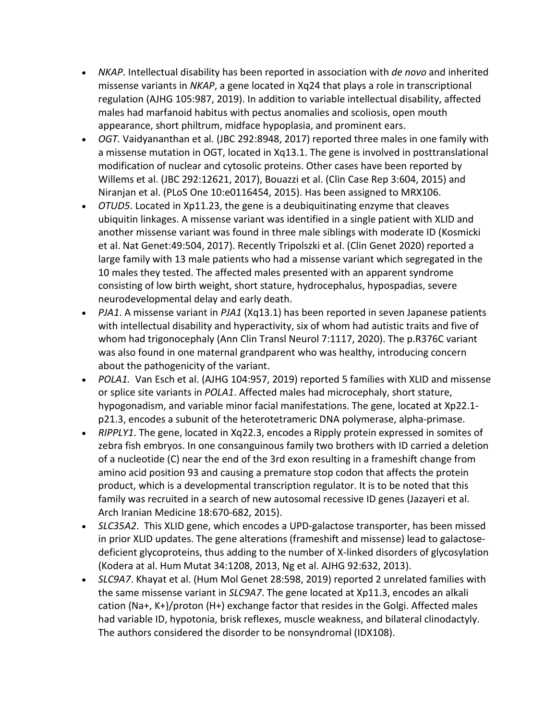- *NKAP*. Intellectual disability has been reported in association with *de novo* and inherited missense variants in *NKAP*, a gene located in Xq24 that plays a role in transcriptional regulation (AJHG 105:987, 2019). In addition to variable intellectual disability, affected males had marfanoid habitus with pectus anomalies and scoliosis, open mouth appearance, short philtrum, midface hypoplasia, and prominent ears.
- *OGT.* Vaidyananthan et al. (JBC 292:8948, 2017) reported three males in one family with a missense mutation in OGT, located in Xq13.1. The gene is involved in posttranslational modification of nuclear and cytosolic proteins. Other cases have been reported by Willems et al. (JBC 292:12621, 2017), Bouazzi et al. (Clin Case Rep 3:604, 2015) and Niranjan et al. (PLoS One 10:e0116454, 2015). Has been assigned to MRX106.
- *OTUD5*. Located in Xp11.23, the gene is a deubiquitinating enzyme that cleaves ubiquitin linkages. A missense variant was identified in a single patient with XLID and another missense variant was found in three male siblings with moderate ID (Kosmicki et al. Nat Genet:49:504, 2017). Recently Tripolszki et al. (Clin Genet 2020) reported a large family with 13 male patients who had a missense variant which segregated in the 10 males they tested. The affected males presented with an apparent syndrome consisting of low birth weight, short stature, hydrocephalus, hypospadias, severe neurodevelopmental delay and early death.
- *PJA1*. A missense variant in *PJA1* (Xq13.1) has been reported in seven Japanese patients with intellectual disability and hyperactivity, six of whom had autistic traits and five of whom had trigonocephaly (Ann Clin Transl Neurol 7:1117, 2020). The p.R376C variant was also found in one maternal grandparent who was healthy, introducing concern about the pathogenicity of the variant.
- *POLA1.* Van Esch et al. (AJHG 104:957, 2019) reported 5 families with XLID and missense or splice site variants in *POLA1*. Affected males had microcephaly, short stature, hypogonadism, and variable minor facial manifestations. The gene, located at Xp22.1 p21.3, encodes a subunit of the heterotetrameric DNA polymerase, alpha-primase.
- *RIPPLY1*. The gene, located in Xq22.3, encodes a Ripply protein expressed in somites of zebra fish embryos. In one consanguinous family two brothers with ID carried a deletion of a nucleotide (C) near the end of the 3rd exon resulting in a frameshift change from amino acid position 93 and causing a premature stop codon that affects the protein product, which is a developmental transcription regulator. It is to be noted that this family was recruited in a search of new autosomal recessive ID genes (Jazayeri et al. Arch Iranian Medicine 18:670-682, 2015).
- *SLC35A2*. This XLID gene, which encodes a UPD-galactose transporter, has been missed in prior XLID updates. The gene alterations (frameshift and missense) lead to galactosedeficient glycoproteins, thus adding to the number of X-linked disorders of glycosylation (Kodera at al. Hum Mutat 34:1208, 2013, Ng et al. AJHG 92:632, 2013).
- *SLC9A7*. Khayat et al. (Hum Mol Genet 28:598, 2019) reported 2 unrelated families with the same missense variant in *SLC9A7*. The gene located at Xp11.3, encodes an alkali cation (Na+, K+)/proton (H+) exchange factor that resides in the Golgi. Affected males had variable ID, hypotonia, brisk reflexes, muscle weakness, and bilateral clinodactyly. The authors considered the disorder to be nonsyndromal (IDX108).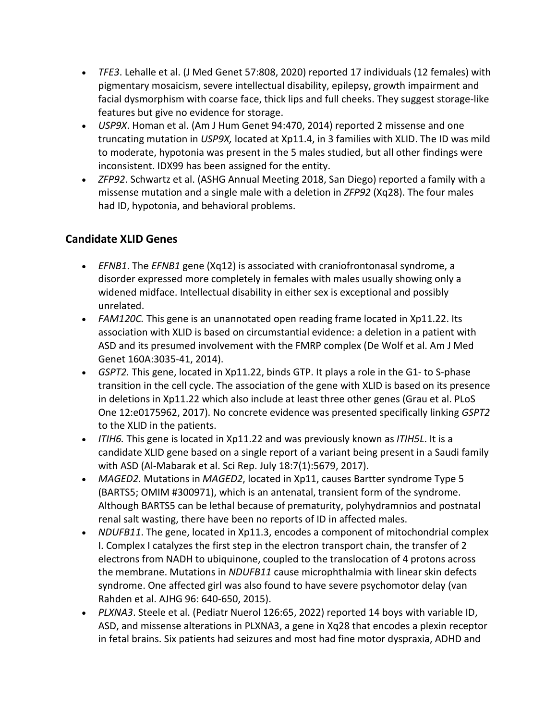- *TFE3*. Lehalle et al. (J Med Genet 57:808, 2020) reported 17 individuals (12 females) with pigmentary mosaicism, severe intellectual disability, epilepsy, growth impairment and facial dysmorphism with coarse face, thick lips and full cheeks. They suggest storage-like features but give no evidence for storage.
- *USP9X*. Homan et al. (Am J Hum Genet 94:470, 2014) reported 2 missense and one truncating mutation in *USP9X,* located at Xp11.4, in 3 families with XLID. The ID was mild to moderate, hypotonia was present in the 5 males studied, but all other findings were inconsistent. IDX99 has been assigned for the entity.
- *ZFP92*. Schwartz et al. (ASHG Annual Meeting 2018, San Diego) reported a family with a missense mutation and a single male with a deletion in *ZFP92* (Xq28). The four males had ID, hypotonia, and behavioral problems.

# **Candidate XLID Genes**

- *EFNB1*. The *EFNB1* gene (Xq12) is associated with craniofrontonasal syndrome, a disorder expressed more completely in females with males usually showing only a widened midface. Intellectual disability in either sex is exceptional and possibly unrelated.
- *FAM120C.* This gene is an unannotated open reading frame located in Xp11.22. Its association with XLID is based on circumstantial evidence: a deletion in a patient with ASD and its presumed involvement with the FMRP complex (De Wolf et al. Am J Med Genet 160A:3035-41, 2014).
- *GSPT2.* This gene, located in Xp11.22, binds GTP. It plays a role in the G1- to S-phase transition in the cell cycle. The association of the gene with XLID is based on its presence in deletions in Xp11.22 which also include at least three other genes (Grau et al. PLoS One 12:e0175962, 2017). No concrete evidence was presented specifically linking *GSPT2* to the XLID in the patients.
- *ITIH6.* This gene is located in Xp11.22 and was previously known as *ITIH5L*. It is a candidate XLID gene based on a single report of a variant being present in a Saudi family with ASD (Al-Mabarak et al. Sci Rep. July 18:7(1):5679, 2017).
- *MAGED2.* Mutations in *MAGED2*, located in Xp11, causes Bartter syndrome Type 5 (BARTS5; OMIM #300971), which is an antenatal, transient form of the syndrome. Although BARTS5 can be lethal because of prematurity, polyhydramnios and postnatal renal salt wasting, there have been no reports of ID in affected males.
- *NDUFB11*. The gene, located in Xp11.3, encodes a component of mitochondrial complex I. Complex I catalyzes the first step in the electron transport chain, the transfer of 2 electrons from NADH to ubiquinone, coupled to the translocation of 4 protons across the membrane. Mutations in *NDUFB11* cause microphthalmia with linear skin defects syndrome. One affected girl was also found to have severe psychomotor delay (van Rahden et al. AJHG 96: 640-650, 2015).
- *PLXNA3*. Steele et al. (Pediatr Nuerol 126:65, 2022) reported 14 boys with variable ID, ASD, and missense alterations in PLXNA3, a gene in Xq28 that encodes a plexin receptor in fetal brains. Six patients had seizures and most had fine motor dyspraxia, ADHD and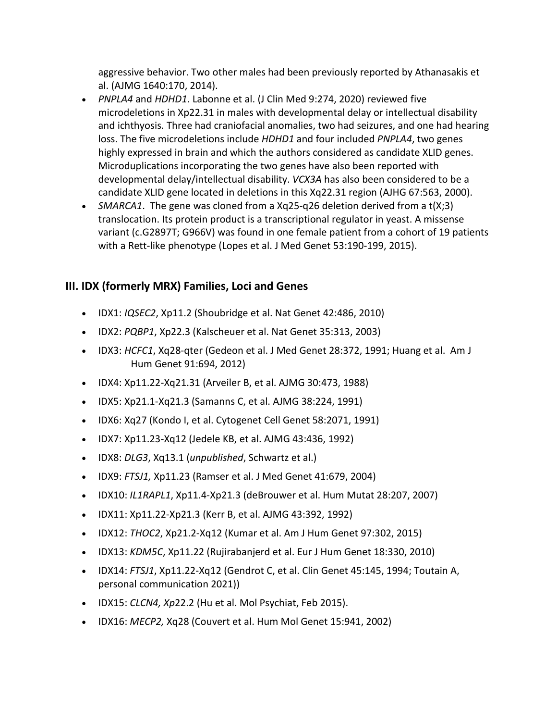aggressive behavior. Two other males had been previously reported by Athanasakis et al. (AJMG 1640:170, 2014).

- *PNPLA4* and *HDHD1*. Labonne et al. (J Clin Med 9:274, 2020) reviewed five microdeletions in Xp22.31 in males with developmental delay or intellectual disability and ichthyosis. Three had craniofacial anomalies, two had seizures, and one had hearing loss. The five microdeletions include *HDHD1* and four included *PNPLA4*, two genes highly expressed in brain and which the authors considered as candidate XLID genes. Microduplications incorporating the two genes have also been reported with developmental delay/intellectual disability. *VCX3A* has also been considered to be a candidate XLID gene located in deletions in this Xq22.31 region (AJHG 67:563, 2000).
- *SMARCA1*. The gene was cloned from a Xq25-q26 deletion derived from a t(X;3) translocation. Its protein product is a transcriptional regulator in yeast. A missense variant (c.G2897T; G966V) was found in one female patient from a cohort of 19 patients with a Rett-like phenotype (Lopes et al. J Med Genet 53:190-199, 2015).

## **III. IDX (formerly MRX) Families, Loci and Genes**

- IDX1: *IQSEC2*, Xp11.2 (Shoubridge et al. Nat Genet 42:486, 2010)
- IDX2: *PQBP1*, Xp22.3 (Kalscheuer et al. Nat Genet 35:313, 2003)
- IDX3: *HCFC1*, Xq28-qter (Gedeon et al. J Med Genet 28:372, 1991; Huang et al. Am J Hum Genet 91:694, 2012)
- IDX4: Xp11.22-Xq21.31 (Arveiler B, et al. AJMG 30:473, 1988)
- IDX5: Xp21.1-Xq21.3 (Samanns C, et al. AJMG 38:224, 1991)
- IDX6: Xq27 (Kondo I, et al. Cytogenet Cell Genet 58:2071, 1991)
- IDX7: Xp11.23-Xq12 (Jedele KB, et al. AJMG 43:436, 1992)
- IDX8: *DLG3*, Xq13.1 (*unpublished*, Schwartz et al.)
- IDX9: *FTSJ1,* Xp11.23 (Ramser et al. J Med Genet 41:679, 2004)
- IDX10: *IL1RAPL1*, Xp11.4-Xp21.3 (deBrouwer et al. Hum Mutat 28:207, 2007)
- IDX11: Xp11.22-Xp21.3 (Kerr B, et al. AJMG 43:392, 1992)
- IDX12: *THOC2*, Xp21.2-Xq12 (Kumar et al. Am J Hum Genet 97:302, 2015)
- IDX13: *KDM5C*, Xp11.22 (Rujirabanjerd et al. Eur J Hum Genet 18:330, 2010)
- IDX14: *FTSJ1*, Xp11.22-Xq12 (Gendrot C, et al. Clin Genet 45:145, 1994; Toutain A, personal communication 2021))
- IDX15: *CLCN4, Xp*22.2 (Hu et al. Mol Psychiat, Feb 2015).
- IDX16: *MECP2,* Xq28 (Couvert et al. Hum Mol Genet 15:941, 2002)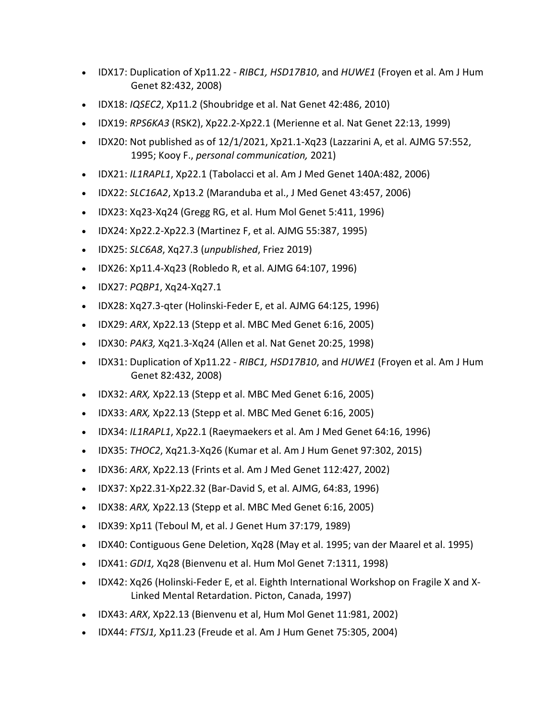- IDX17: Duplication of Xp11.22 *RIBC1, HSD17B10*, and *HUWE1* (Froyen et al. Am J Hum Genet 82:432, 2008)
- IDX18: *IQSEC2*, Xp11.2 (Shoubridge et al. Nat Genet 42:486, 2010)
- IDX19: *RPS6KA3* (RSK2), Xp22.2-Xp22.1 (Merienne et al. Nat Genet 22:13, 1999)
- IDX20: Not published as of  $12/1/2021$ , Xp21.1-Xq23 (Lazzarini A, et al. AJMG 57:552, 1995; Kooy F., *personal communication,* 2021)
- IDX21: *IL1RAPL1*, Xp22.1 (Tabolacci et al. Am J Med Genet 140A:482, 2006)
- IDX22: *SLC16A2*, Xp13.2 (Maranduba et al., J Med Genet 43:457, 2006)
- IDX23: Xq23-Xq24 (Gregg RG, et al. Hum Mol Genet 5:411, 1996)
- IDX24: Xp22.2-Xp22.3 (Martinez F, et al. AJMG 55:387, 1995)
- IDX25: *SLC6A8*, Xq27.3 (*unpublished*, Friez 2019)
- IDX26: Xp11.4-Xq23 (Robledo R, et al. AJMG 64:107, 1996)
- IDX27: *PQBP1*, Xq24-Xq27.1
- IDX28: Xq27.3-qter (Holinski-Feder E, et al. AJMG 64:125, 1996)
- IDX29: *ARX*, Xp22.13 (Stepp et al. MBC Med Genet 6:16, 2005)
- IDX30: *PAK3,* Xq21.3-Xq24 (Allen et al. Nat Genet 20:25, 1998)
- IDX31: Duplication of Xp11.22 *RIBC1, HSD17B10*, and *HUWE1* (Froyen et al. Am J Hum Genet 82:432, 2008)
- IDX32: *ARX,* Xp22.13 (Stepp et al. MBC Med Genet 6:16, 2005)
- IDX33: *ARX,* Xp22.13 (Stepp et al. MBC Med Genet 6:16, 2005)
- IDX34: *IL1RAPL1*, Xp22.1 (Raeymaekers et al. Am J Med Genet 64:16, 1996)
- IDX35: *THOC2*, Xq21.3-Xq26 (Kumar et al. Am J Hum Genet 97:302, 2015)
- IDX36: *ARX*, Xp22.13 (Frints et al. Am J Med Genet 112:427, 2002)
- IDX37: Xp22.31-Xp22.32 (Bar-David S, et al. AJMG, 64:83, 1996)
- IDX38: *ARX,* Xp22.13 (Stepp et al. MBC Med Genet 6:16, 2005)
- IDX39: Xp11 (Teboul M, et al. J Genet Hum 37:179, 1989)
- IDX40: Contiguous Gene Deletion, Xq28 (May et al. 1995; van der Maarel et al. 1995)
- IDX41: *GDI1,* Xq28 (Bienvenu et al. Hum Mol Genet 7:1311, 1998)
- IDX42: Xq26 (Holinski-Feder E, et al. Eighth International Workshop on Fragile X and X-Linked Mental Retardation. Picton, Canada, 1997)
- IDX43: *ARX*, Xp22.13 (Bienvenu et al, Hum Mol Genet 11:981, 2002)
- IDX44: *FTSJ1,* Xp11.23 (Freude et al. Am J Hum Genet 75:305, 2004)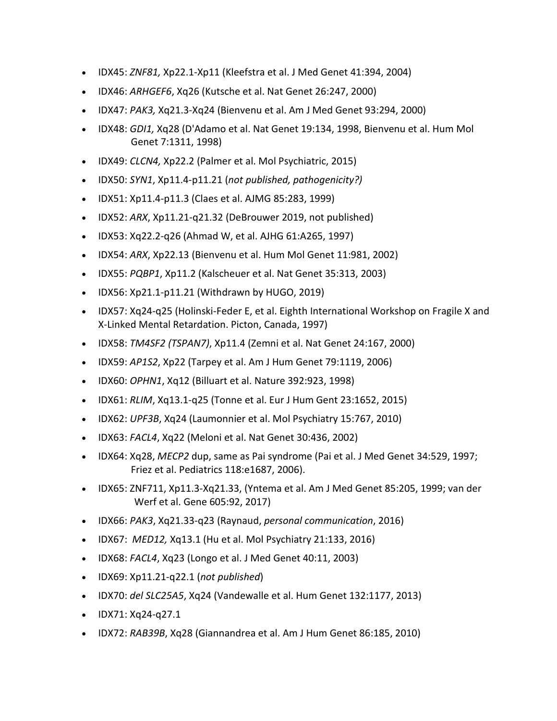- IDX45: *ZNF81,* Xp22.1-Xp11 (Kleefstra et al. J Med Genet 41:394, 2004)
- IDX46: *ARHGEF6*, Xq26 (Kutsche et al. Nat Genet 26:247, 2000)
- IDX47: *PAK3,* Xq21.3-Xq24 (Bienvenu et al. Am J Med Genet 93:294, 2000)
- IDX48: *GDI1,* Xq28 (D'Adamo et al. Nat Genet 19:134, 1998, Bienvenu et al. Hum Mol Genet 7:1311, 1998)
- IDX49: *CLCN4,* Xp22.2 (Palmer et al. Mol Psychiatric, 2015)
- IDX50: *SYN1*, Xp11.4-p11.21 (*not published, pathogenicity?)*
- IDX51: Xp11.4-p11.3 (Claes et al. AJMG 85:283, 1999)
- IDX52: *ARX*, Xp11.21-q21.32 (DeBrouwer 2019, not published)
- IDX53: Xq22.2-q26 (Ahmad W, et al. AJHG 61:A265, 1997)
- IDX54: *ARX*, Xp22.13 (Bienvenu et al. Hum Mol Genet 11:981, 2002)
- IDX55: *PQBP1*, Xp11.2 (Kalscheuer et al. Nat Genet 35:313, 2003)
- IDX56: Xp21.1-p11.21 (Withdrawn by HUGO, 2019)
- IDX57: Xq24-q25 (Holinski-Feder E, et al. Eighth International Workshop on Fragile X and X-Linked Mental Retardation. Picton, Canada, 1997)
- IDX58: *TM4SF2 (TSPAN7)*, Xp11.4 (Zemni et al. Nat Genet 24:167, 2000)
- IDX59: *AP1S2*, Xp22 (Tarpey et al. Am J Hum Genet 79:1119, 2006)
- IDX60: *OPHN1*, Xq12 (Billuart et al. Nature 392:923, 1998)
- IDX61: *RLIM*, Xq13.1-q25 (Tonne et al. Eur J Hum Gent 23:1652, 2015)
- IDX62: *UPF3B*, Xq24 (Laumonnier et al. Mol Psychiatry 15:767, 2010)
- IDX63: *FACL4*, Xq22 (Meloni et al. Nat Genet 30:436, 2002)
- IDX64: Xq28, *MECP2* dup, same as Pai syndrome (Pai et al. J Med Genet 34:529, 1997; Friez et al. Pediatrics 118:e1687, 2006).
- IDX65: ZNF711, Xp11.3-Xq21.33, (Yntema et al. Am J Med Genet 85:205, 1999; van der Werf et al. Gene 605:92, 2017)
- IDX66: *PAK3*, Xq21.33-q23 (Raynaud, *personal communication*, 2016)
- IDX67: *MED12,* Xq13.1 (Hu et al. Mol Psychiatry 21:133, 2016)
- IDX68: *FACL4*, Xq23 (Longo et al. J Med Genet 40:11, 2003)
- IDX69: Xp11.21-q22.1 (*not published*)
- IDX70: *del SLC25A5*, Xq24 (Vandewalle et al. Hum Genet 132:1177, 2013)
- IDX71: Xq24-q27.1
- IDX72: *RAB39B*, Xq28 (Giannandrea et al. Am J Hum Genet 86:185, 2010)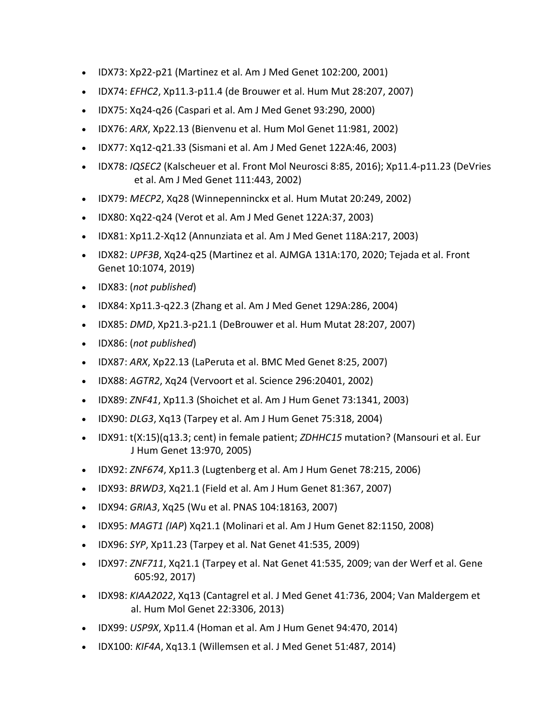- IDX73: Xp22-p21 (Martinez et al. Am J Med Genet 102:200, 2001)
- IDX74: *EFHC2*, Xp11.3-p11.4 (de Brouwer et al. Hum Mut 28:207, 2007)
- IDX75: Xq24-q26 (Caspari et al. Am J Med Genet 93:290, 2000)
- IDX76: *ARX*, Xp22.13 (Bienvenu et al. Hum Mol Genet 11:981, 2002)
- IDX77: Xq12-q21.33 (Sismani et al. Am J Med Genet 122A:46, 2003)
- IDX78: *IQSEC2* (Kalscheuer et al. Front Mol Neurosci 8:85, 2016); Xp11.4-p11.23 (DeVries et al. Am J Med Genet 111:443, 2002)
- IDX79: *MECP2*, Xq28 (Winnepenninckx et al. Hum Mutat 20:249, 2002)
- IDX80: Xq22-q24 (Verot et al. Am J Med Genet 122A:37, 2003)
- IDX81: Xp11.2-Xq12 (Annunziata et al. Am J Med Genet 118A:217, 2003)
- IDX82: *UPF3B*, Xq24-q25 (Martinez et al. AJMGA 131A:170, 2020; Tejada et al. Front Genet 10:1074, 2019)
- IDX83: (*not published*)
- IDX84: Xp11.3-q22.3 (Zhang et al. Am J Med Genet 129A:286, 2004)
- IDX85: *DMD*, Xp21.3-p21.1 (DeBrouwer et al. Hum Mutat 28:207, 2007)
- IDX86: (*not published*)
- IDX87: *ARX*, Xp22.13 (LaPeruta et al. BMC Med Genet 8:25, 2007)
- IDX88: *AGTR2*, Xq24 (Vervoort et al. Science 296:20401, 2002)
- IDX89: *ZNF41*, Xp11.3 (Shoichet et al. Am J Hum Genet 73:1341, 2003)
- IDX90: *DLG3*, Xq13 (Tarpey et al. Am J Hum Genet 75:318, 2004)
- IDX91: t(X:15)(q13.3; cent) in female patient; *ZDHHC15* mutation? (Mansouri et al. Eur J Hum Genet 13:970, 2005)
- IDX92: *ZNF674*, Xp11.3 (Lugtenberg et al. Am J Hum Genet 78:215, 2006)
- IDX93: *BRWD3*, Xq21.1 (Field et al. Am J Hum Genet 81:367, 2007)
- IDX94: *GRIA3*, Xq25 (Wu et al. PNAS 104:18163, 2007)
- IDX95: *MAGT1 (IAP*) Xq21.1 (Molinari et al. Am J Hum Genet 82:1150, 2008)
- IDX96: *SYP*, Xp11.23 (Tarpey et al. Nat Genet 41:535, 2009)
- IDX97: *ZNF711*, Xq21.1 (Tarpey et al. Nat Genet 41:535, 2009; van der Werf et al. Gene 605:92, 2017)
- IDX98: *KIAA2022*, Xq13 (Cantagrel et al. J Med Genet 41:736, 2004; Van Maldergem et al. Hum Mol Genet 22:3306, 2013)
- IDX99: *USP9X*, Xp11.4 (Homan et al. Am J Hum Genet 94:470, 2014)
- IDX100: *KIF4A*, Xq13.1 (Willemsen et al. J Med Genet 51:487, 2014)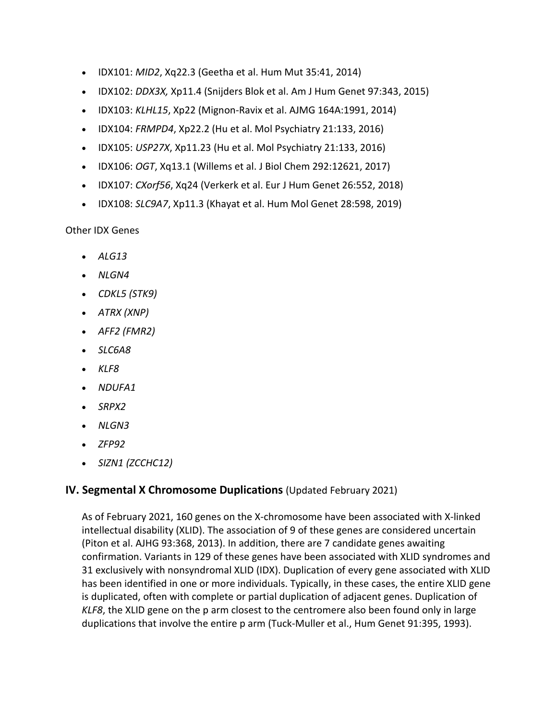- IDX101: *MID2*, Xq22.3 (Geetha et al. Hum Mut 35:41, 2014)
- IDX102: *DDX3X,* Xp11.4 (Snijders Blok et al. Am J Hum Genet 97:343, 2015)
- IDX103: *KLHL15*, Xp22 (Mignon-Ravix et al. AJMG 164A:1991, 2014)
- IDX104: *FRMPD4*, Xp22.2 (Hu et al. Mol Psychiatry 21:133, 2016)
- IDX105: *USP27X*, Xp11.23 (Hu et al. Mol Psychiatry 21:133, 2016)
- IDX106: *OGT*, Xq13.1 (Willems et al. J Biol Chem 292:12621, 2017)
- IDX107: *CXorf56*, Xq24 (Verkerk et al. Eur J Hum Genet 26:552, 2018)
- IDX108: *SLC9A7*, Xp11.3 (Khayat et al. Hum Mol Genet 28:598, 2019)

Other IDX Genes

- *ALG13*
- *NLGN4*
- *CDKL5 (STK9)*
- *ATRX (XNP)*
- *AFF2 (FMR2)*
- *SLC6A8*
- *KLF8*
- *NDUFA1*
- *SRPX2*
- *NLGN3*
- *ZFP92*
- *SIZN1 (ZCCHC12)*

#### **IV. Segmental X Chromosome Duplications** (Updated February 2021)

As of February 2021, 160 genes on the X-chromosome have been associated with X-linked intellectual disability (XLID). The association of 9 of these genes are considered uncertain (Piton et al. AJHG 93:368, 2013). In addition, there are 7 candidate genes awaiting confirmation. Variants in 129 of these genes have been associated with XLID syndromes and 31 exclusively with nonsyndromal XLID (IDX). Duplication of every gene associated with XLID has been identified in one or more individuals. Typically, in these cases, the entire XLID gene is duplicated, often with complete or partial duplication of adjacent genes. Duplication of *KLF8*, the XLID gene on the p arm closest to the centromere also been found only in large duplications that involve the entire p arm (Tuck-Muller et al., Hum Genet 91:395, 1993).